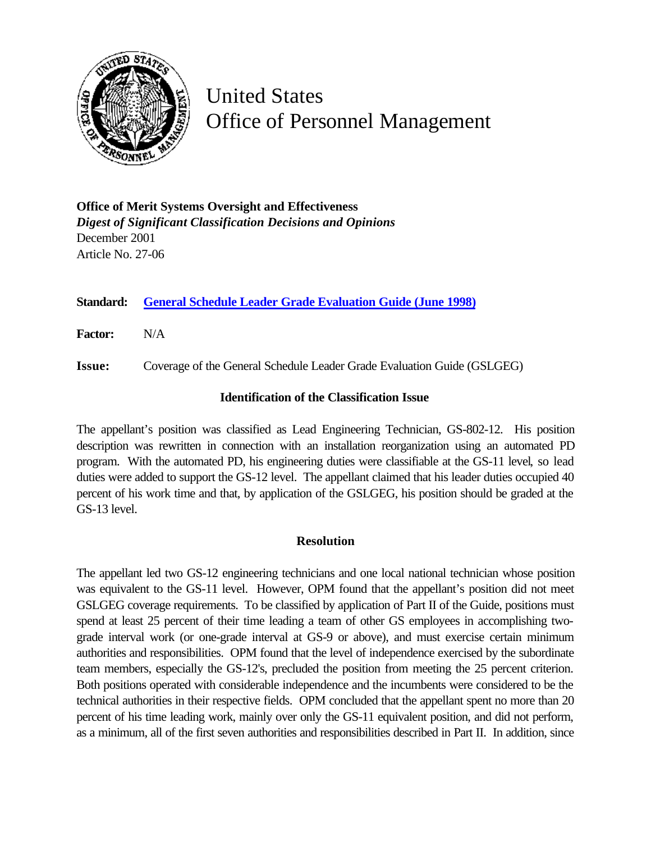

## United States Office of Personnel Management

| <b>Office of Merit Systems Oversight and Effectiveness</b>         |
|--------------------------------------------------------------------|
| <b>Digest of Significant Classification Decisions and Opinions</b> |
| December 2001                                                      |
| Article No. 27-06                                                  |

**Standard: [General Schedule Leader Grade Evaluation Guide \(June 1998\)](http://www.opm.gov/fedclass/gslead.pdf)**

**Factor:** N/A

**Issue:** Coverage of the General Schedule Leader Grade Evaluation Guide (GSLGEG)

## **Identification of the Classification Issue**

The appellant's position was classified as Lead Engineering Technician, GS-802-12. His position description was rewritten in connection with an installation reorganization using an automated PD program. With the automated PD, his engineering duties were classifiable at the GS-11 level, so lead duties were added to support the GS-12 level. The appellant claimed that his leader duties occupied 40 percent of his work time and that, by application of the GSLGEG, his position should be graded at the GS-13 level.

## **Resolution**

The appellant led two GS-12 engineering technicians and one local national technician whose position was equivalent to the GS-11 level. However, OPM found that the appellant's position did not meet GSLGEG coverage requirements. To be classified by application of Part II of the Guide, positions must spend at least 25 percent of their time leading a team of other GS employees in accomplishing twograde interval work (or one-grade interval at GS-9 or above), and must exercise certain minimum authorities and responsibilities. OPM found that the level of independence exercised by the subordinate team members, especially the GS-12's, precluded the position from meeting the 25 percent criterion. Both positions operated with considerable independence and the incumbents were considered to be the technical authorities in their respective fields. OPM concluded that the appellant spent no more than 20 percent of his time leading work, mainly over only the GS-11 equivalent position, and did not perform, as a minimum, all of the first seven authorities and responsibilities described in Part II. In addition, since